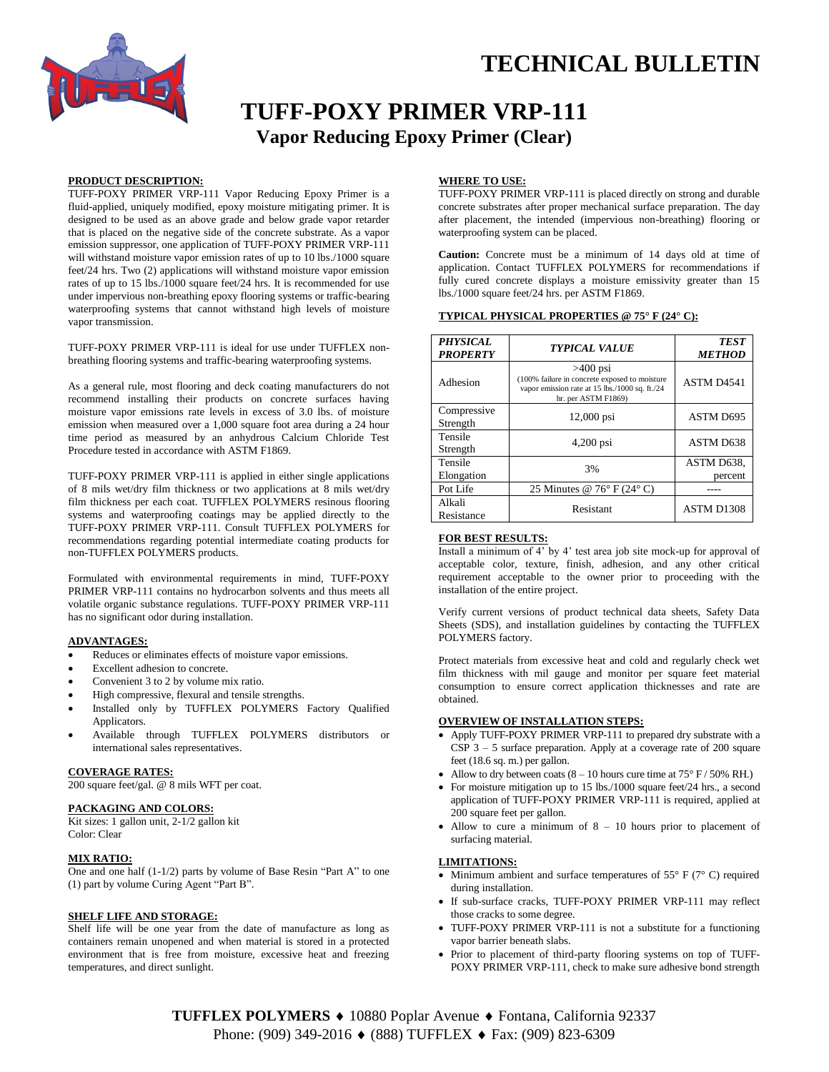

# **TUFF-POXY PRIMER VRP-111 Vapor Reducing Epoxy Primer (Clear)**

# **PRODUCT DESCRIPTION:**

TUFF-POXY PRIMER VRP-111 Vapor Reducing Epoxy Primer is a fluid-applied, uniquely modified, epoxy moisture mitigating primer. It is designed to be used as an above grade and below grade vapor retarder that is placed on the negative side of the concrete substrate. As a vapor emission suppressor, one application of TUFF-POXY PRIMER VRP-111 will withstand moisture vapor emission rates of up to 10 lbs./1000 square feet/24 hrs. Two (2) applications will withstand moisture vapor emission rates of up to 15 lbs./1000 square feet/24 hrs. It is recommended for use under impervious non-breathing epoxy flooring systems or traffic-bearing waterproofing systems that cannot withstand high levels of moisture vapor transmission.

TUFF-POXY PRIMER VRP-111 is ideal for use under TUFFLEX nonbreathing flooring systems and traffic-bearing waterproofing systems.

As a general rule, most flooring and deck coating manufacturers do not recommend installing their products on concrete surfaces having moisture vapor emissions rate levels in excess of 3.0 lbs. of moisture emission when measured over a 1,000 square foot area during a 24 hour time period as measured by an anhydrous Calcium Chloride Test Procedure tested in accordance with ASTM F1869.

TUFF-POXY PRIMER VRP-111 is applied in either single applications of 8 mils wet/dry film thickness or two applications at 8 mils wet/dry film thickness per each coat. TUFFLEX POLYMERS resinous flooring systems and waterproofing coatings may be applied directly to the TUFF-POXY PRIMER VRP-111. Consult TUFFLEX POLYMERS for recommendations regarding potential intermediate coating products for non-TUFFLEX POLYMERS products.

Formulated with environmental requirements in mind, TUFF-POXY PRIMER VRP-111 contains no hydrocarbon solvents and thus meets all volatile organic substance regulations. TUFF-POXY PRIMER VRP-111 has no significant odor during installation.

# **ADVANTAGES:**

- Reduces or eliminates effects of moisture vapor emissions.
- Excellent adhesion to concrete.
- Convenient 3 to 2 by volume mix ratio.
- High compressive, flexural and tensile strengths.
- Installed only by TUFFLEX POLYMERS Factory Qualified Applicators.
- Available through TUFFLEX POLYMERS distributors or international sales representatives.

# **COVERAGE RATES:**

200 square feet/gal. @ 8 mils WFT per coat.

# **PACKAGING AND COLORS:**

Kit sizes: 1 gallon unit, 2-1/2 gallon kit Color: Clear

#### **MIX RATIO:**

One and one half (1-1/2) parts by volume of Base Resin "Part A" to one (1) part by volume Curing Agent "Part B".

# **SHELF LIFE AND STORAGE:**

Shelf life will be one year from the date of manufacture as long as containers remain unopened and when material is stored in a protected environment that is free from moisture, excessive heat and freezing temperatures, and direct sunlight.

## **WHERE TO USE:**

TUFF-POXY PRIMER VRP-111 is placed directly on strong and durable concrete substrates after proper mechanical surface preparation. The day after placement, the intended (impervious non-breathing) flooring or waterproofing system can be placed.

**Caution:** Concrete must be a minimum of 14 days old at time of application. Contact TUFFLEX POLYMERS for recommendations if fully cured concrete displays a moisture emissivity greater than 15 lbs./1000 square feet/24 hrs. per ASTM F1869.

# **TYPICAL PHYSICAL PROPERTIES @ 75° F (24° C):**

| <b>PHYSICAL</b><br><b>PROPERTY</b> | <b>TYPICAL VALUE</b>                                                                                                                 | <b>TEST</b><br><b>METHOD</b> |
|------------------------------------|--------------------------------------------------------------------------------------------------------------------------------------|------------------------------|
| Adhesion                           | $>400$ psi<br>(100% failure in concrete exposed to moisture<br>vapor emission rate at 15 lbs./1000 sq. ft./24<br>hr. per ASTM F1869) | ASTM D4541                   |
| Compressive<br>Strength            | $12,000$ psi                                                                                                                         | ASTM D695                    |
| Tensile<br>Strength                | $4,200$ psi                                                                                                                          | ASTM D638                    |
| Tensile<br>Elongation              | 3%                                                                                                                                   | ASTM D638,<br>percent        |
| Pot Life                           | 25 Minutes @ $76^{\circ}$ F (24 $^{\circ}$ C)                                                                                        |                              |
| Alkali<br>Resistance               | Resistant                                                                                                                            | ASTM D1308                   |

# **FOR BEST RESULTS:**

Install a minimum of 4' by 4' test area job site mock-up for approval of acceptable color, texture, finish, adhesion, and any other critical requirement acceptable to the owner prior to proceeding with the installation of the entire project.

Verify current versions of product technical data sheets, Safety Data Sheets (SDS), and installation guidelines by contacting the TUFFLEX POLYMERS factory.

Protect materials from excessive heat and cold and regularly check wet film thickness with mil gauge and monitor per square feet material consumption to ensure correct application thicknesses and rate are obtained.

#### **OVERVIEW OF INSTALLATION STEPS:**

- Apply TUFF-POXY PRIMER VRP-111 to prepared dry substrate with a CSP  $3 - 5$  surface preparation. Apply at a coverage rate of 200 square feet (18.6 sq. m.) per gallon.
- Allow to dry between coats  $(8 10$  hours cure time at  $75^{\circ}$  F / 50% RH.)
- For moisture mitigation up to 15 lbs./1000 square feet/24 hrs., a second application of TUFF-POXY PRIMER VRP-111 is required, applied at 200 square feet per gallon.
- $\bullet$  Allow to cure a minimum of  $8 10$  hours prior to placement of surfacing material.

# **LIMITATIONS:**

- Minimum ambient and surface temperatures of  $55^{\circ}$  F ( $7^{\circ}$  C) required during installation.
- If sub-surface cracks, TUFF-POXY PRIMER VRP-111 may reflect those cracks to some degree.
- TUFF-POXY PRIMER VRP-111 is not a substitute for a functioning vapor barrier beneath slabs.
- Prior to placement of third-party flooring systems on top of TUFF-POXY PRIMER VRP-111, check to make sure adhesive bond strength

TUFFLEX POLYMERS ♦ 10880 Poplar Avenue ♦ Fontana, California 92337 Phone: (909) 349-2016 ♦ (888) TUFFLEX ♦ Fax: (909) 823-6309